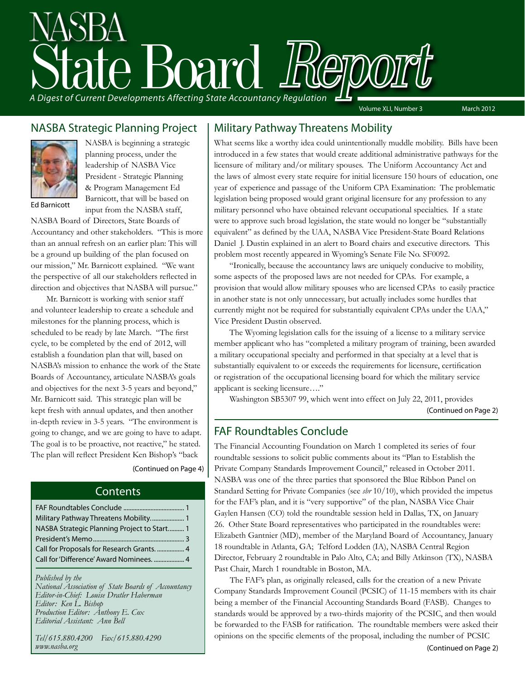# A Digest of Current Developments Affecting State Accountancy Regulation

Volume XLI, Number 3 March 2012

### NASBA Strategic Planning Project



NASBA is beginning a strategic planning process, under the leadership of NASBA Vice President - Strategic Planning & Program Management Ed Barnicott, that will be based on input from the NASBA staff,

Ed Barnicott

NASBA Board of Directors, State Boards of Accountancy and other stakeholders. "This is more than an annual refresh on an earlier plan: This will be a ground up building of the plan focused on our mission," Mr. Barnicott explained. "We want the perspective of all our stakeholders reflected in direction and objectives that NASBA will pursue."

Mr. Barnicott is working with senior staff and volunteer leadership to create a schedule and milestones for the planning process, which is scheduled to be ready by late March. "The first cycle, to be completed by the end of 2012, will establish a foundation plan that will, based on NASBA's mission to enhance the work of the State Boards of Accountancy, articulate NASBA's goals and objectives for the next 3-5 years and beyond," Mr. Barnicott said. This strategic plan will be kept fresh with annual updates, and then another in-depth review in 3-5 years. "The environment is going to change, and we are going to have to adapt. The goal is to be proactive, not reactive," he stated. The plan will reflect President Ken Bishop's "back

### (Continued on Page 4)

### **Contents**

| Military Pathway Threatens Mobility 1      |
|--------------------------------------------|
| NASBA Strategic Planning Project to Start1 |
|                                            |
|                                            |
| Call for 'Difference' Award Nominees.  4   |
|                                            |

*Published by the National Association of State Boards of Accountancy Editor-in-Chief: Louise Dratler Haberman Editor: Ken L. Bishop Production Editor: Anthony E. Cox Editorial Assistant: Ann Bell* 

*Tel/615.880.4200 Fax/615.880.4290 www.nasba.org*

### Military Pathway Threatens Mobility

What seems like a worthy idea could unintentionally muddle mobility. Bills have been introduced in a few states that would create additional administrative pathways for the licensure of military and/or military spouses. The Uniform Accountancy Act and the laws of almost every state require for initial licensure 150 hours of education, one year of experience and passage of the Uniform CPA Examination: The problematic legislation being proposed would grant original licensure for any profession to any military personnel who have obtained relevant occupational specialties. If a state were to approve such broad legislation, the state would no longer be "substantially equivalent" as defined by the UAA, NASBA Vice President-State Board Relations Daniel J. Dustin explained in an alert to Board chairs and executive directors. This problem most recently appeared in Wyoming's Senate File No. SF0092.

"Ironically, because the accountancy laws are uniquely conducive to mobility, some aspects of the proposed laws are not needed for CPAs. For example, a provision that would allow military spouses who are licensed CPAs to easily practice in another state is not only unnecessary, but actually includes some hurdles that currently might not be required for substantially equivalent CPAs under the UAA," Vice President Dustin observed.

The Wyoming legislation calls for the issuing of a license to a military service member applicant who has "completed a military program of training, been awarded a military occupational specialty and performed in that specialty at a level that is substantially equivalent to or exceeds the requirements for licensure, certification or registration of the occupational licensing board for which the military service applicant is seeking licensure…."

Washington SB5307 99, which went into effect on July 22, 2011, provides (Continued on Page 2)

### FAF Roundtables Conclude

The Financial Accounting Foundation on March 1 completed its series of four roundtable sessions to solicit public comments about its "Plan to Establish the Private Company Standards Improvement Council," released in October 2011. NASBA was one of the three parties that sponsored the Blue Ribbon Panel on Standard Setting for Private Companies (see *sbr* 10/10), which provided the impetus for the FAF's plan, and it is "very supportive" of the plan, NASBA Vice Chair Gaylen Hansen (CO) told the roundtable session held in Dallas, TX, on January 26. Other State Board representatives who participated in the roundtables were: Elizabeth Gantnier (MD), member of the Maryland Board of Accountancy, January 18 roundtable in Atlanta, GA; Telford Lodden (IA), NASBA Central Region Director, February 2 roundtable in Palo Alto, CA; and Billy Atkinson (TX), NASBA Past Chair, March 1 roundtable in Boston, MA.

The FAF's plan, as originally released, calls for the creation of a new Private Company Standards Improvement Council (PCSIC) of 11-15 members with its chair being a member of the Financial Accounting Standards Board (FASB). Changes to standards would be approved by a two-thirds majority of the PCSIC, and then would be forwarded to the FASB for ratification. The roundtable members were asked their opinions on the specific elements of the proposal, including the number of PCSIC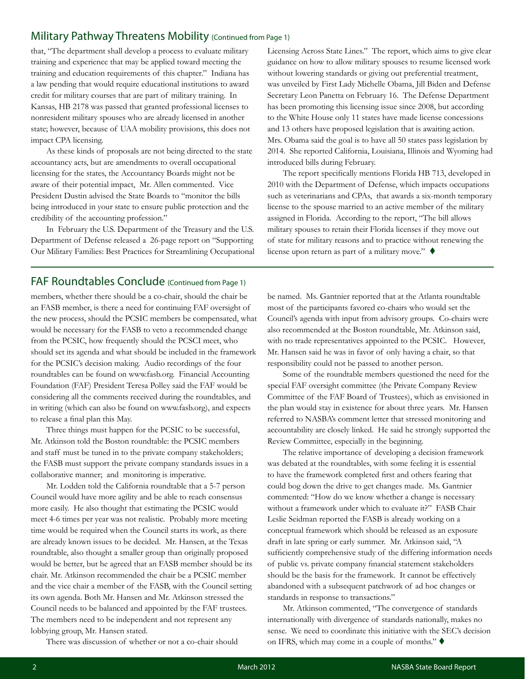### Military Pathway Threatens Mobility (Continued from Page 1)

that, "The department shall develop a process to evaluate military training and experience that may be applied toward meeting the training and education requirements of this chapter." Indiana has a law pending that would require educational institutions to award credit for military courses that are part of military training. In Kansas, HB 2178 was passed that granted professional licenses to nonresident military spouses who are already licensed in another state; however, because of UAA mobility provisions, this does not impact CPA licensing.

As these kinds of proposals are not being directed to the state accountancy acts, but are amendments to overall occupational licensing for the states, the Accountancy Boards might not be aware of their potential impact, Mr. Allen commented. Vice President Dustin advised the State Boards to "monitor the bills being introduced in your state to ensure public protection and the credibility of the accounting profession."

In February the U.S. Department of the Treasury and the U.S. Department of Defense released a 26-page report on "Supporting Our Military Families: Best Practices for Streamlining Occupational

### FAF Roundtables Conclude (Continued from Page 1)

members, whether there should be a co-chair, should the chair be an FASB member, is there a need for continuing FAF oversight of the new process, should the PCSIC members be compensated, what would be necessary for the FASB to veto a recommended change from the PCSIC, how frequently should the PCSCI meet, who should set its agenda and what should be included in the framework for the PCSIC's decision making. Audio recordings of the four roundtables can be found on www.fasb.org. Financial Accounting Foundation (FAF) President Teresa Polley said the FAF would be considering all the comments received during the roundtables, and in writing (which can also be found on www.fasb.org), and expects to release a final plan this May.

Three things must happen for the PCSIC to be successful, Mr. Atkinson told the Boston roundtable: the PCSIC members and staff must be tuned in to the private company stakeholders; the FASB must support the private company standards issues in a collaborative manner; and monitoring is imperative.

Mr. Lodden told the California roundtable that a 5-7 person Council would have more agility and be able to reach consensus more easily. He also thought that estimating the PCSIC would meet 4-6 times per year was not realistic. Probably more meeting time would be required when the Council starts its work, as there are already known issues to be decided. Mr. Hansen, at the Texas roundtable, also thought a smaller group than originally proposed would be better, but he agreed that an FASB member should be its chair. Mr. Atkinson recommended the chair be a PCSIC member and the vice chair a member of the FASB, with the Council setting its own agenda. Both Mr. Hansen and Mr. Atkinson stressed the Council needs to be balanced and appointed by the FAF trustees. The members need to be independent and not represent any lobbying group, Mr. Hansen stated.

There was discussion of whether or not a co-chair should

Licensing Across State Lines." The report, which aims to give clear guidance on how to allow military spouses to resume licensed work without lowering standards or giving out preferential treatment, was unveiled by First Lady Michelle Obama, Jill Biden and Defense Secretary Leon Panetta on February 16. The Defense Department has been promoting this licensing issue since 2008, but according to the White House only 11 states have made license concessions and 13 others have proposed legislation that is awaiting action. Mrs. Obama said the goal is to have all 50 states pass legislation by 2014. She reported California, Louisiana, Illinois and Wyoming had introduced bills during February.

The report specifically mentions Florida HB 713, developed in 2010 with the Department of Defense, which impacts occupations such as veterinarians and CPAs, that awards a six-month temporary license to the spouse married to an active member of the military assigned in Florida. According to the report, "The bill allows military spouses to retain their Florida licenses if they move out of state for military reasons and to practice without renewing the license upon return as part of a military move."  $\blacklozenge$ 

be named. Ms. Gantnier reported that at the Atlanta roundtable most of the participants favored co-chairs who would set the Council's agenda with input from advisory groups. Co-chairs were also recommended at the Boston roundtable, Mr. Atkinson said, with no trade representatives appointed to the PCSIC. However, Mr. Hansen said he was in favor of only having a chair, so that responsibility could not be passed to another person.

Some of the roundtable members questioned the need for the special FAF oversight committee (the Private Company Review Committee of the FAF Board of Trustees), which as envisioned in the plan would stay in existence for about three years. Mr. Hansen referred to NASBA's comment letter that stressed monitoring and accountability are closely linked. He said he strongly supported the Review Committee, especially in the beginning.

The relative importance of developing a decision framework was debated at the roundtables, with some feeling it is essential to have the framework completed first and others fearing that could bog down the drive to get changes made. Ms. Gantnier commented: "How do we know whether a change is necessary without a framework under which to evaluate it?" FASB Chair Leslie Seidman reported the FASB is already working on a conceptual framework which should be released as an exposure draft in late spring or early summer. Mr. Atkinson said, "A sufficiently comprehensive study of the differing information needs of public vs. private company financial statement stakeholders should be the basis for the framework. It cannot be effectively abandoned with a subsequent patchwork of ad hoc changes or standards in response to transactions."

Mr. Atkinson commented, "The convergence of standards internationally with divergence of standards nationally, makes no sense. We need to coordinate this initiative with the SEC's decision on IFRS, which may come in a couple of months."  $\blacklozenge$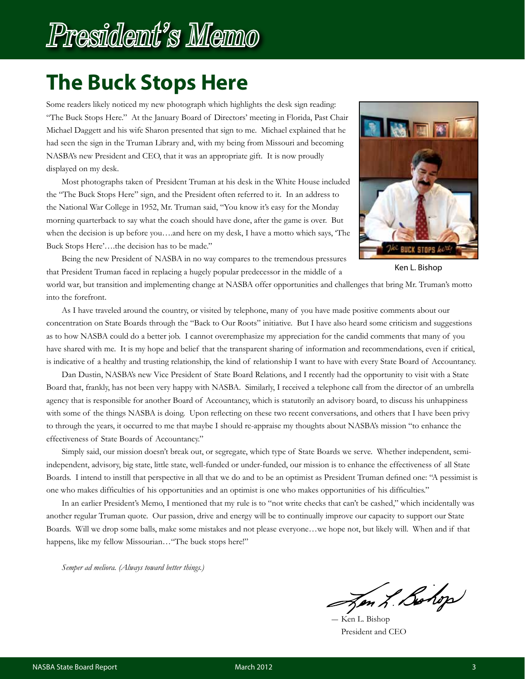# President's Memo

## **The Buck Stops Here**

Some readers likely noticed my new photograph which highlights the desk sign reading: "The Buck Stops Here." At the January Board of Directors' meeting in Florida, Past Chair Michael Daggett and his wife Sharon presented that sign to me. Michael explained that he had seen the sign in the Truman Library and, with my being from Missouri and becoming NASBA's new President and CEO, that it was an appropriate gift. It is now proudly displayed on my desk.

Most photographs taken of President Truman at his desk in the White House included the "The Buck Stops Here" sign, and the President often referred to it. In an address to the National War College in 1952, Mr. Truman said, "You know it's easy for the Monday morning quarterback to say what the coach should have done, after the game is over. But when the decision is up before you….and here on my desk, I have a motto which says, 'The Buck Stops Here'….the decision has to be made."



Ken L. Bishop

Being the new President of NASBA in no way compares to the tremendous pressures that President Truman faced in replacing a hugely popular predecessor in the middle of a

world war, but transition and implementing change at NASBA offer opportunities and challenges that bring Mr. Truman's motto into the forefront.

As I have traveled around the country, or visited by telephone, many of you have made positive comments about our concentration on State Boards through the "Back to Our Roots" initiative. But I have also heard some criticism and suggestions as to how NASBA could do a better job. I cannot overemphasize my appreciation for the candid comments that many of you have shared with me. It is my hope and belief that the transparent sharing of information and recommendations, even if critical, is indicative of a healthy and trusting relationship, the kind of relationship I want to have with every State Board of Accountancy.

Dan Dustin, NASBA's new Vice President of State Board Relations, and I recently had the opportunity to visit with a State Board that, frankly, has not been very happy with NASBA. Similarly, I received a telephone call from the director of an umbrella agency that is responsible for another Board of Accountancy, which is statutorily an advisory board, to discuss his unhappiness with some of the things NASBA is doing. Upon reflecting on these two recent conversations, and others that I have been privy to through the years, it occurred to me that maybe I should re-appraise my thoughts about NASBA's mission "to enhance the effectiveness of State Boards of Accountancy."

Simply said, our mission doesn't break out, or segregate, which type of State Boards we serve. Whether independent, semiindependent, advisory, big state, little state, well-funded or under-funded, our mission is to enhance the effectiveness of all State Boards. I intend to instill that perspective in all that we do and to be an optimist as President Truman defined one: "A pessimist is one who makes difficulties of his opportunities and an optimist is one who makes opportunities of his difficulties."

In an earlier President's Memo, I mentioned that my rule is to "not write checks that can't be cashed," which incidentally was another regular Truman quote. Our passion, drive and energy will be to continually improve our capacity to support our State Boards. Will we drop some balls, make some mistakes and not please everyone…we hope not, but likely will. When and if that happens, like my fellow Missourian... "The buck stops here!"

*Semper ad meliora. (Always toward better things.)*

Jon L. Bohop

Ken L. Bishop President and CEO